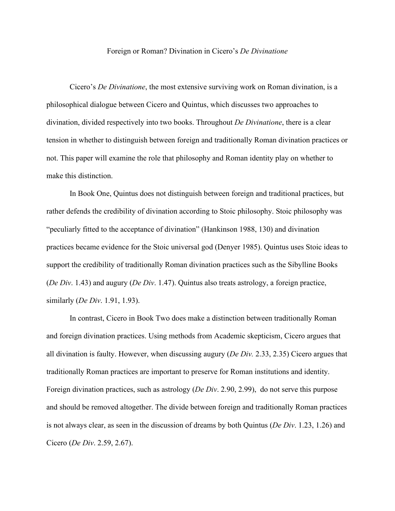## Foreign or Roman? Divination in Cicero's *De Divinatione*

Cicero's *De Divinatione*, the most extensive surviving work on Roman divination, is a philosophical dialogue between Cicero and Quintus, which discusses two approaches to divination, divided respectively into two books. Throughout *De Divinatione*, there is a clear tension in whether to distinguish between foreign and traditionally Roman divination practices or not. This paper will examine the role that philosophy and Roman identity play on whether to make this distinction.

In Book One, Quintus does not distinguish between foreign and traditional practices, but rather defends the credibility of divination according to Stoic philosophy. Stoic philosophy was "peculiarly fitted to the acceptance of divination" (Hankinson 1988, 130) and divination practices became evidence for the Stoic universal god (Denyer 1985). Quintus uses Stoic ideas to support the credibility of traditionally Roman divination practices such as the Sibylline Books (*De Div*. 1.43) and augury (*De Div*. 1.47). Quintus also treats astrology, a foreign practice, similarly (*De Div*. 1.91, 1.93).

In contrast, Cicero in Book Two does make a distinction between traditionally Roman and foreign divination practices. Using methods from Academic skepticism, Cicero argues that all divination is faulty. However, when discussing augury (*De Div.* 2.33, 2.35) Cicero argues that traditionally Roman practices are important to preserve for Roman institutions and identity. Foreign divination practices, such as astrology (*De Div*. 2.90, 2.99), do not serve this purpose and should be removed altogether. The divide between foreign and traditionally Roman practices is not always clear, as seen in the discussion of dreams by both Quintus (*De Div*. 1.23, 1.26) and Cicero (*De Div*. 2.59, 2.67).